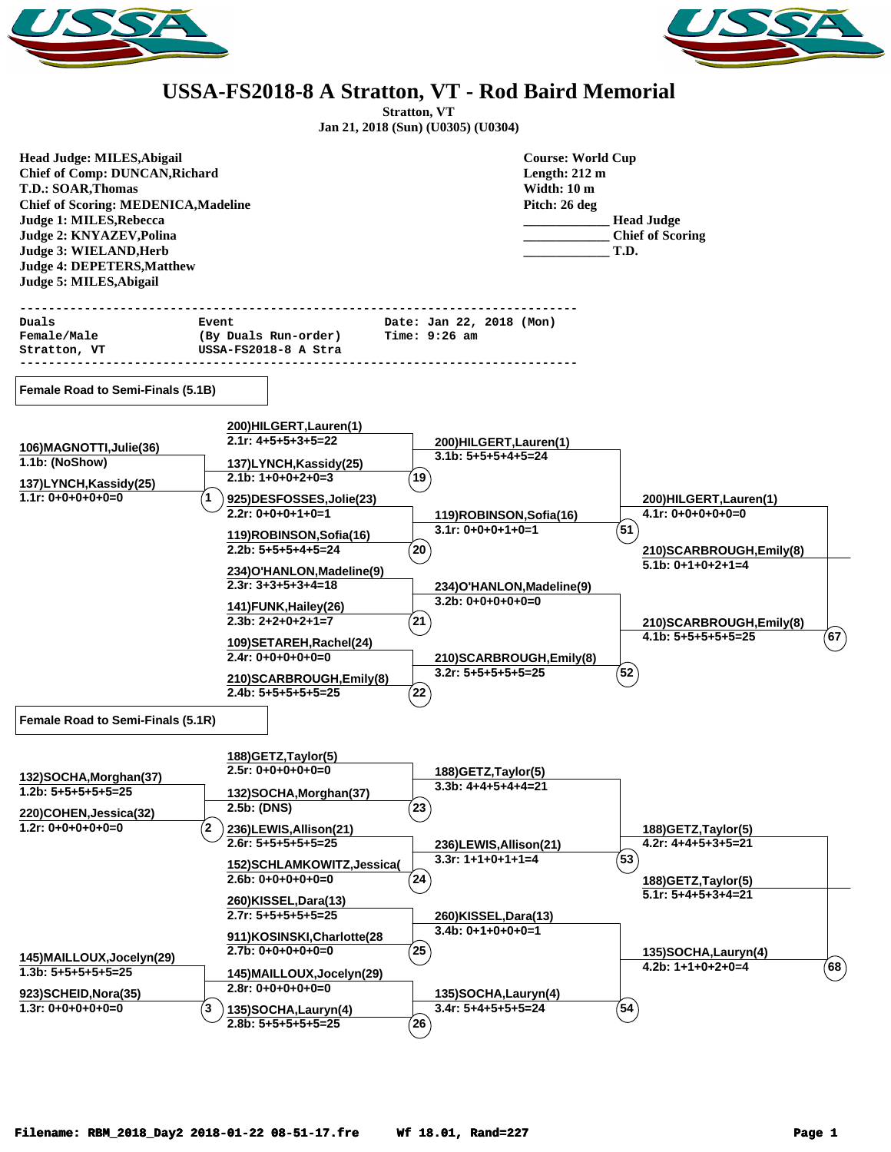



## **USSA-FS2018-8 A Stratton, VT - Rod Baird Memorial**

**Stratton, VT Jan 21, 2018 (Sun) (U0305) (U0304)**

| Head Judge: MILES, Abigail<br><b>Chief of Comp: DUNCAN, Richard</b><br><b>T.D.: SOAR, Thomas</b><br><b>Chief of Scoring: MEDENICA, Madeline</b><br>Judge 1: MILES, Rebecca<br>Judge 2: KNYAZEV, Polina<br>Judge 3: WIELAND, Herb<br><b>Judge 4: DEPETERS, Matthew</b><br>Judge 5: MILES, Abigail |                                                                                         |                                                   | <b>Course: World Cup</b><br>Length: 212 m<br>Width: 10 m<br>Pitch: 26 deg | <b>Head Judge</b><br><b>Chief of Scoring</b><br>T.D. |             |
|--------------------------------------------------------------------------------------------------------------------------------------------------------------------------------------------------------------------------------------------------------------------------------------------------|-----------------------------------------------------------------------------------------|---------------------------------------------------|---------------------------------------------------------------------------|------------------------------------------------------|-------------|
| Duals<br>Female/Male<br>Stratton, VT                                                                                                                                                                                                                                                             | ------------------------------<br>Event<br>(By Duals Run-order)<br>USSA-FS2018-8 A Stra | Date: Jan 22, 2018 (Mon)<br>Time: 9:26 am         |                                                                           |                                                      |             |
|                                                                                                                                                                                                                                                                                                  |                                                                                         |                                                   |                                                                           |                                                      |             |
| Female Road to Semi-Finals (5.1B)                                                                                                                                                                                                                                                                |                                                                                         |                                                   |                                                                           |                                                      |             |
|                                                                                                                                                                                                                                                                                                  | 200)HILGERT, Lauren(1)                                                                  |                                                   |                                                                           |                                                      |             |
| 106) MAGNOTTI, Julie (36)                                                                                                                                                                                                                                                                        | $2.1r: 4+5+5+3+5=22$                                                                    | 200)HILGERT, Lauren(1)                            |                                                                           |                                                      |             |
| 1.1b: (NoShow)                                                                                                                                                                                                                                                                                   | 137)LYNCH, Kassidy(25)                                                                  | $3.1b: 5+5+5+4+5=24$                              |                                                                           |                                                      |             |
| 137)LYNCH, Kassidy(25)                                                                                                                                                                                                                                                                           | $2.1b: 1+0+0+2+0=3$                                                                     | $^{\prime}$ 19                                    |                                                                           |                                                      |             |
| $1.1r: 0+0+0+0+0=0$                                                                                                                                                                                                                                                                              | 925)DESFOSSES, Jolie(23)                                                                |                                                   |                                                                           | 200)HILGERT, Lauren(1)                               |             |
|                                                                                                                                                                                                                                                                                                  | $2.2r: 0+0+0+1+0=1$                                                                     | 119)ROBINSON, Sofia(16)                           |                                                                           | $4.1r: 0+0+0+0+0=0$                                  |             |
|                                                                                                                                                                                                                                                                                                  | 119)ROBINSON, Sofia(16)                                                                 | $3.1r: 0+0+0+1+0=1$                               |                                                                           | (51                                                  |             |
|                                                                                                                                                                                                                                                                                                  | $2.2b: 5+5+5+4+5=24$                                                                    | $^{'}20$                                          |                                                                           | 210) SCARBROUGH, Emily (8)                           |             |
|                                                                                                                                                                                                                                                                                                  | 234) O'HANLON, Madeline(9)                                                              |                                                   |                                                                           | $5.1b: 0+1+0+2+1=4$                                  |             |
|                                                                                                                                                                                                                                                                                                  | $2.3r: 3+3+5+3+4=18$                                                                    | 234)O'HANLON, Madeline(9)                         |                                                                           |                                                      |             |
|                                                                                                                                                                                                                                                                                                  | 141) FUNK, Hailey (26)                                                                  | $3.2b: 0+0+0+0+0=0$                               |                                                                           |                                                      |             |
|                                                                                                                                                                                                                                                                                                  | $2.3b: 2+2+0+2+1=7$                                                                     | $^{21}$                                           |                                                                           | 210) SCARBROUGH, Emily(8)                            |             |
|                                                                                                                                                                                                                                                                                                  | 109) SETAREH, Rachel(24)                                                                |                                                   |                                                                           | $4.1b: 5+5+5+5+5=25$                                 | 67          |
|                                                                                                                                                                                                                                                                                                  | $2.4r: 0+0+0+0+0=0$                                                                     | 210) SCARBROUGH, Emily(8)<br>$3.2r: 5+5+5+5+5=25$ |                                                                           | (52`                                                 |             |
|                                                                                                                                                                                                                                                                                                  | 210) SCARBROUGH, Emily(8)                                                               |                                                   |                                                                           |                                                      |             |
|                                                                                                                                                                                                                                                                                                  | $2.4b: 5+5+5+5+5=25$                                                                    | $^{'}22$                                          |                                                                           |                                                      |             |
| Female Road to Semi-Finals (5.1R)                                                                                                                                                                                                                                                                |                                                                                         |                                                   |                                                                           |                                                      |             |
|                                                                                                                                                                                                                                                                                                  | 188) GETZ, Taylor(5)                                                                    |                                                   |                                                                           |                                                      |             |
| 132)SOCHA, Morghan(37)                                                                                                                                                                                                                                                                           | $2.5r: 0+0+0+0+0=0$                                                                     | 188) GETZ, Taylor(5)                              |                                                                           |                                                      |             |
| $1.2b: 5+5+5+5+5=25$                                                                                                                                                                                                                                                                             | 132)SOCHA, Morghan(37)                                                                  | $3.3b: 4+4+5+4+4=21$                              |                                                                           |                                                      |             |
| 220)COHEN, Jessica(32)                                                                                                                                                                                                                                                                           | 2.5b: (DNS)                                                                             | $^{'}23$                                          |                                                                           |                                                      |             |
| $1.2r: 0+0+0+0+0=0$                                                                                                                                                                                                                                                                              | (2 <sup>1</sup><br>236)LEWIS, Allison(21)                                               |                                                   |                                                                           | 188) GETZ, Taylor(5)                                 |             |
|                                                                                                                                                                                                                                                                                                  | $2.6r: 5+5+5+5+5=25$                                                                    | 236)LEWIS, Allison(21)                            |                                                                           | $4.2r: 4+4+5+3+5=21$                                 |             |
|                                                                                                                                                                                                                                                                                                  | 152) SCHLAMKOWITZ, Jessica(                                                             | $3.3r: 1+1+0+1+1=4$                               |                                                                           | $\left( 53\right)$                                   |             |
|                                                                                                                                                                                                                                                                                                  | $2.6b: 0+0+0+0+0=0$                                                                     | (24)                                              |                                                                           | 188) GETZ, Taylor(5)                                 |             |
|                                                                                                                                                                                                                                                                                                  | 260)KISSEL, Dara(13)                                                                    |                                                   |                                                                           | $5.1r: 5+4+5+3+4=21$                                 |             |
|                                                                                                                                                                                                                                                                                                  | $2.7r: 5+5+5+5+5=25$                                                                    | 260)KISSEL, Dara(13)                              |                                                                           |                                                      |             |
|                                                                                                                                                                                                                                                                                                  | 911)KOSINSKI, Charlotte (28                                                             | $3.4b: 0+1+0+0+0=1$                               |                                                                           |                                                      |             |
| 145) MAILLOUX, Jocelyn (29)                                                                                                                                                                                                                                                                      | $2.7b: 0+0+0+0+0=0$                                                                     | (25)                                              |                                                                           | 135)SOCHA, Lauryn(4)                                 |             |
| $1.3b: 5+5+5+5+5=25$                                                                                                                                                                                                                                                                             | 145) MAILLOUX, Jocelyn (29)                                                             |                                                   |                                                                           | $4.2b: 1+1+0+2+0=4$                                  | $(\bf{68})$ |
| 923)SCHEID, Nora(35)                                                                                                                                                                                                                                                                             | $2.8r: 0+0+0+0+0=0$                                                                     | 135)SOCHA, Lauryn(4)                              |                                                                           |                                                      |             |
| $1.3r: 0+0+0+0+0=0$                                                                                                                                                                                                                                                                              | 3<br>135)SOCHA, Lauryn(4)                                                               | $3.4r: 5+4+5+5+5=24$                              |                                                                           | $54^{\circ}$                                         |             |
|                                                                                                                                                                                                                                                                                                  | $2.8b: 5+5+5+5+5=25$                                                                    | $^{'}26$                                          |                                                                           |                                                      |             |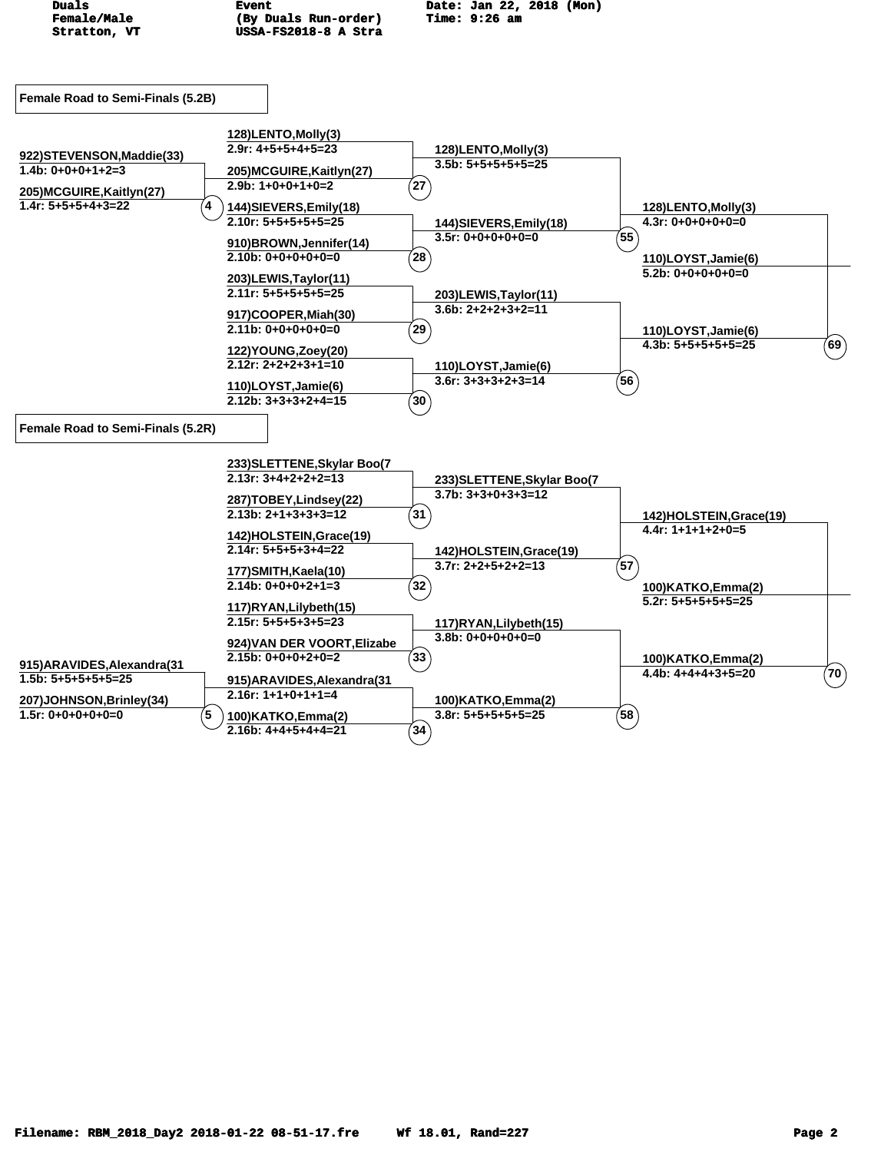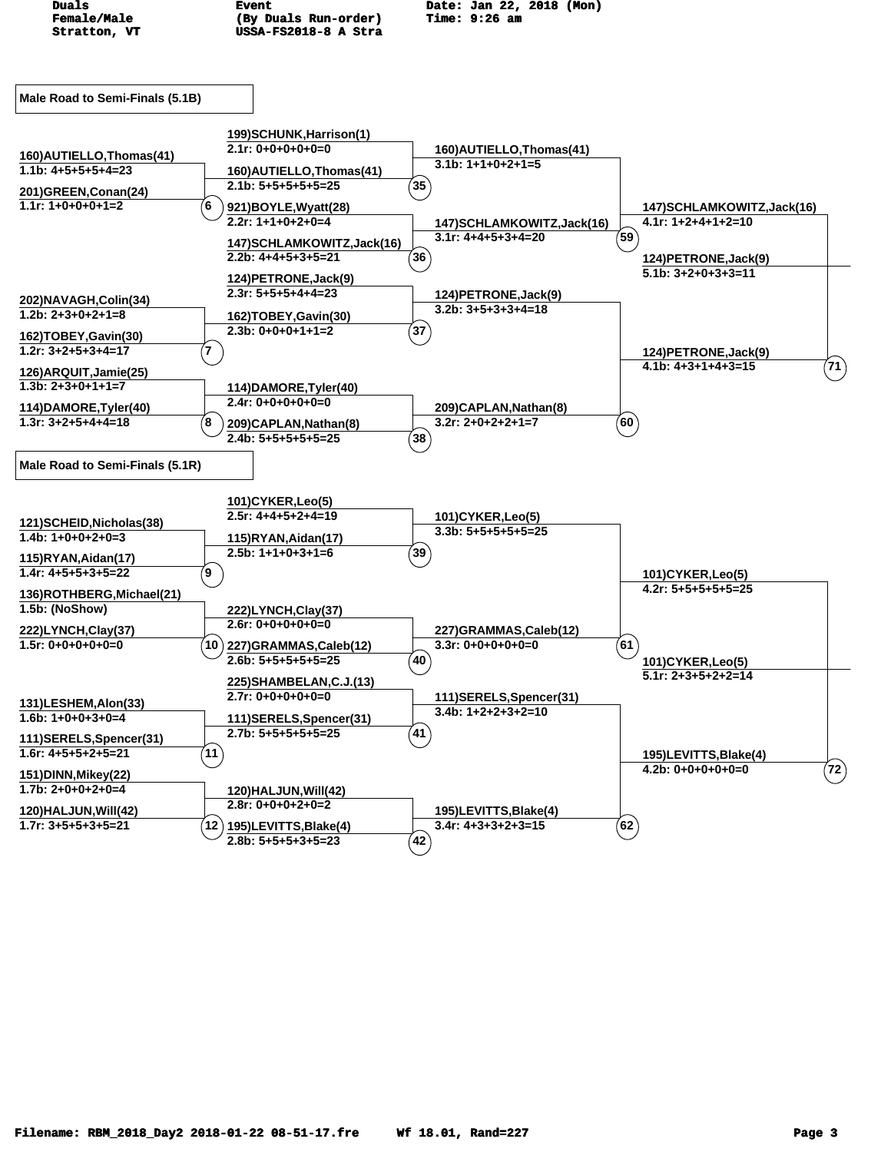![](_page_2_Figure_0.jpeg)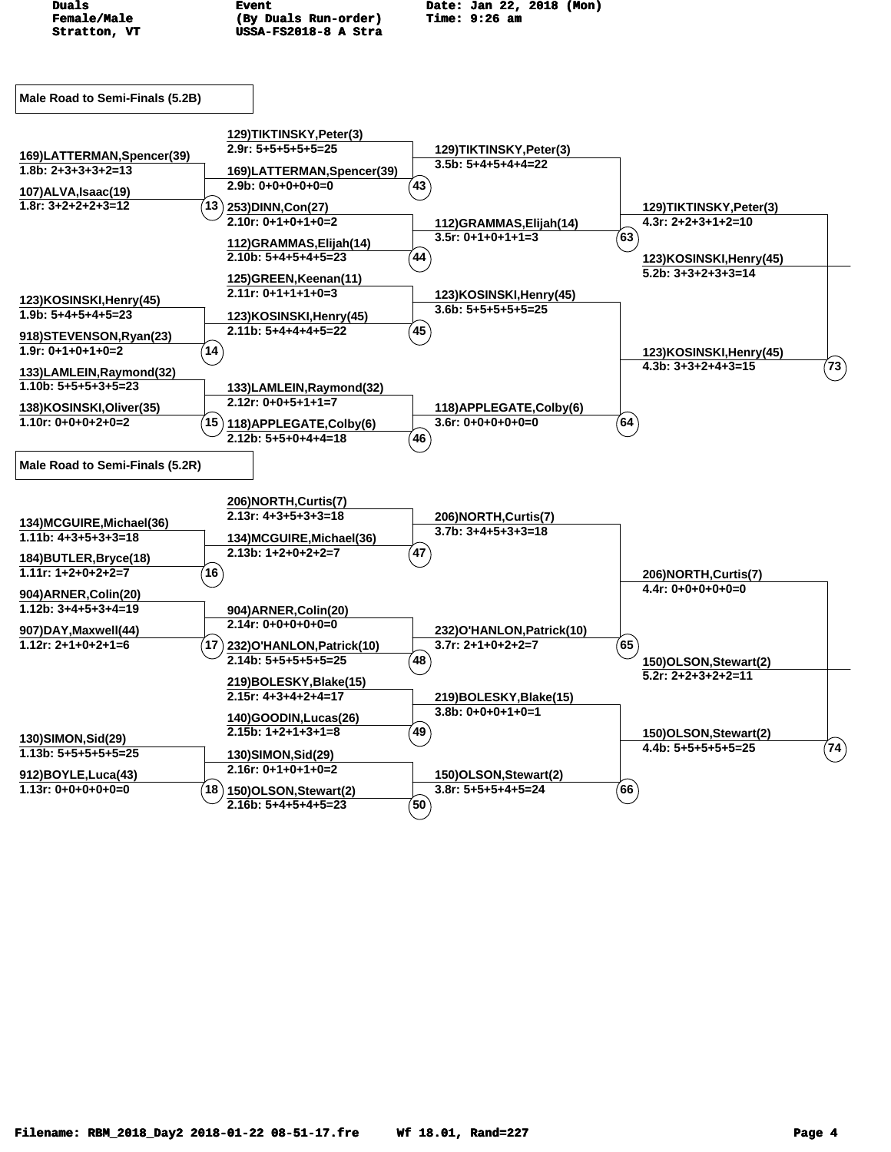![](_page_3_Figure_0.jpeg)